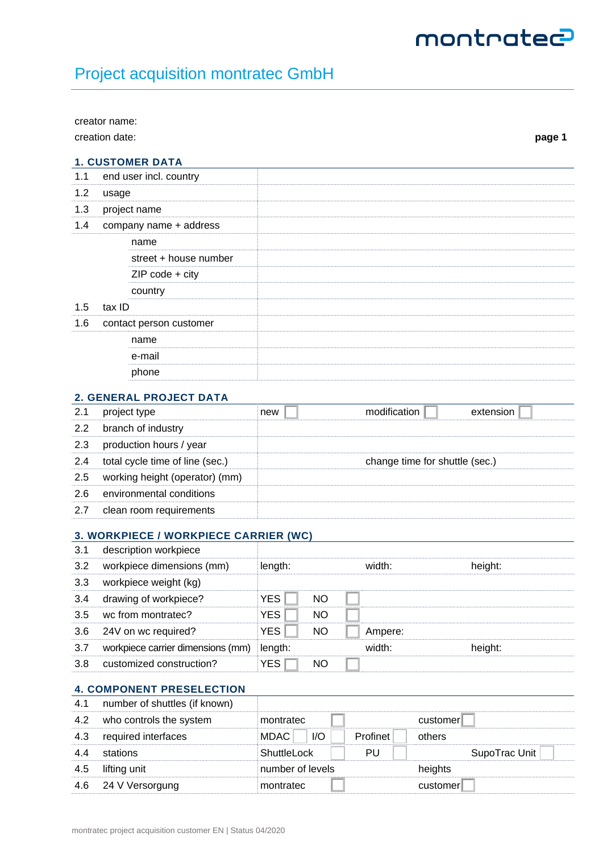# montrated

## Project acquisition montratec GmbH

|     | creator name:                         |                  |  |           |  |              |                                |          |               |        |
|-----|---------------------------------------|------------------|--|-----------|--|--------------|--------------------------------|----------|---------------|--------|
|     | creation date:                        |                  |  |           |  |              |                                |          |               | page 1 |
|     | <b>1. CUSTOMER DATA</b>               |                  |  |           |  |              |                                |          |               |        |
| 1.1 | end user incl. country                |                  |  |           |  |              |                                |          |               |        |
| 1.2 | usage                                 |                  |  |           |  |              |                                |          |               |        |
| 1.3 | project name                          |                  |  |           |  |              |                                |          |               |        |
| 1.4 | company name + address                |                  |  |           |  |              |                                |          |               |        |
|     | name                                  |                  |  |           |  |              |                                |          |               |        |
|     | street + house number                 |                  |  |           |  |              |                                |          |               |        |
|     | $ZIP code + city$                     |                  |  |           |  |              |                                |          |               |        |
|     | country                               |                  |  |           |  |              |                                |          |               |        |
| 1.5 | tax ID                                |                  |  |           |  |              |                                |          |               |        |
| 1.6 | contact person customer               |                  |  |           |  |              |                                |          |               |        |
|     | name                                  |                  |  |           |  |              |                                |          |               |        |
|     | e-mail                                |                  |  |           |  |              |                                |          |               |        |
|     | phone                                 |                  |  |           |  |              |                                |          |               |        |
|     | <b>2. GENERAL PROJECT DATA</b>        |                  |  |           |  |              |                                |          |               |        |
| 2.1 | project type                          | new              |  |           |  | modification |                                |          | extension     |        |
| 2.2 | branch of industry                    |                  |  |           |  |              |                                |          |               |        |
| 2.3 | production hours / year               |                  |  |           |  |              |                                |          |               |        |
| 2.4 | total cycle time of line (sec.)       |                  |  |           |  |              | change time for shuttle (sec.) |          |               |        |
| 2.5 | working height (operator) (mm)        |                  |  |           |  |              |                                |          |               |        |
| 2.6 | environmental conditions              |                  |  |           |  |              |                                |          |               |        |
| 2.7 | clean room requirements               |                  |  |           |  |              |                                |          |               |        |
|     |                                       |                  |  |           |  |              |                                |          |               |        |
|     | 3. WORKPIECE / WORKPIECE CARRIER (WC) |                  |  |           |  |              |                                |          |               |        |
| 3.1 | description workpiece                 |                  |  |           |  |              |                                |          |               |        |
| 3.2 | workpiece dimensions (mm)             | length:          |  |           |  | width:       |                                |          | height:       |        |
| 3.3 | workpiece weight (kg)                 |                  |  |           |  |              |                                |          |               |        |
| 3.4 | drawing of workpiece?                 | <b>YES</b>       |  | <b>NO</b> |  |              |                                |          |               |        |
| 3.5 | wc from montratec?                    | <b>YES</b>       |  | <b>NO</b> |  |              |                                |          |               |        |
| 3.6 | 24V on wc required?                   | <b>YES</b>       |  | <b>NO</b> |  | Ampere:      |                                |          |               |        |
| 3.7 | workpiece carrier dimensions (mm)     | length:          |  |           |  | width:       |                                |          | height:       |        |
| 3.8 | customized construction?              | <b>YES</b>       |  | <b>NO</b> |  |              |                                |          |               |        |
|     | <b>4. COMPONENT PRESELECTION</b>      |                  |  |           |  |              |                                |          |               |        |
| 4.1 | number of shuttles (if known)         |                  |  |           |  |              |                                |          |               |        |
| 4.2 | who controls the system               | montratec        |  |           |  |              |                                | customer |               |        |
| 4.3 | required interfaces                   | <b>MDAC</b>      |  | I/O       |  | Profinet     | others                         |          |               |        |
| 4.4 | stations                              | ShuttleLock      |  |           |  | PU           |                                |          | SupoTrac Unit |        |
| 4.5 | lifting unit                          | number of levels |  |           |  | heights      |                                |          |               |        |

4.6 24 V Versorgung montratec **customer**